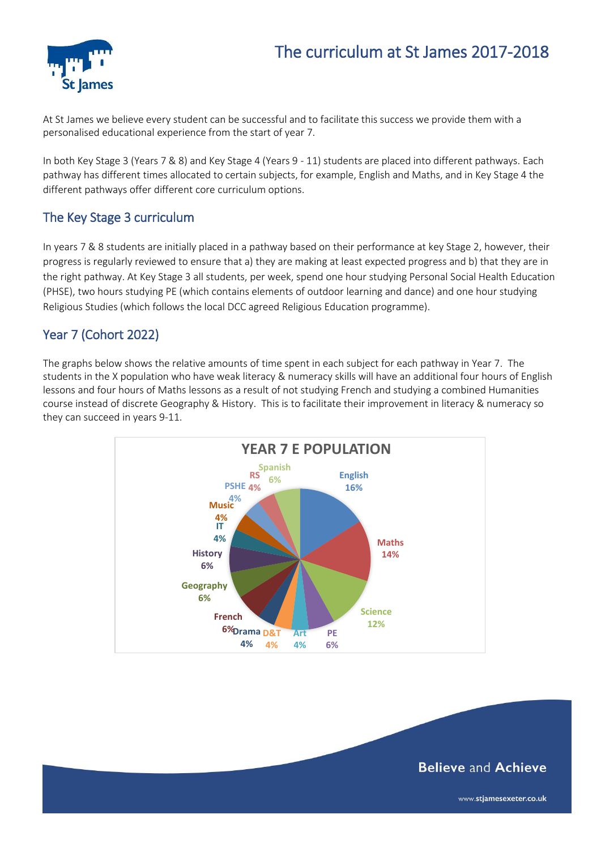# The curriculum at St James 2017-2018



At St James we believe every student can be successful and to facilitate this success we provide them with a personalised educational experience from the start of year 7.

In both Key Stage 3 (Years 7 & 8) and Key Stage 4 (Years 9 - 11) students are placed into different pathways. Each pathway has different times allocated to certain subjects, for example, English and Maths, and in Key Stage 4 the different pathways offer different core curriculum options.

#### The Key Stage 3 curriculum

In years 7 & 8 students are initially placed in a pathway based on their performance at key Stage 2, however, their progress is regularly reviewed to ensure that a) they are making at least expected progress and b) that they are in the right pathway. At Key Stage 3 all students, per week, spend one hour studying Personal Social Health Education (PHSE), two hours studying PE (which contains elements of outdoor learning and dance) and one hour studying Religious Studies (which follows the local DCC agreed Religious Education programme).

#### Year 7 (Cohort 2022)

The graphs below shows the relative amounts of time spent in each subject for each pathway in Year 7. The students in the X population who have weak literacy & numeracy skills will have an additional four hours of English lessons and four hours of Maths lessons as a result of not studying French and studying a combined Humanities course instead of discrete Geography & History. This is to facilitate their improvement in literacy & numeracy so they can succeed in years 9-11.



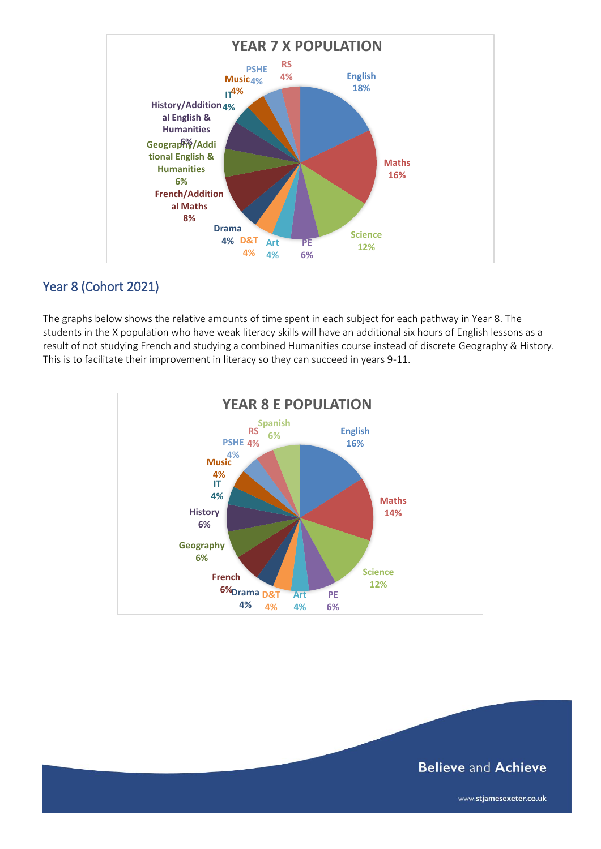

# Year 8 (Cohort 2021)

The graphs below shows the relative amounts of time spent in each subject for each pathway in Year 8. The students in the X population who have weak literacy skills will have an additional six hours of English lessons as a result of not studying French and studying a combined Humanities course instead of discrete Geography & History. This is to facilitate their improvement in literacy so they can succeed in years 9-11.



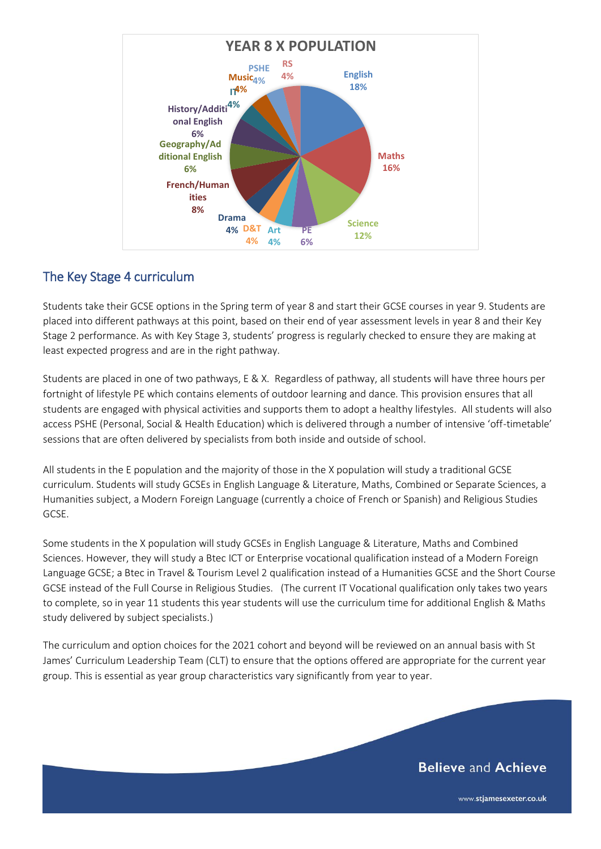

#### The Key Stage 4 curriculum

Students take their GCSE options in the Spring term of year 8 and start their GCSE courses in year 9. Students are placed into different pathways at this point, based on their end of year assessment levels in year 8 and their Key Stage 2 performance. As with Key Stage 3, students' progress is regularly checked to ensure they are making at least expected progress and are in the right pathway.

Students are placed in one of two pathways, E & X. Regardless of pathway, all students will have three hours per fortnight of lifestyle PE which contains elements of outdoor learning and dance. This provision ensures that all students are engaged with physical activities and supports them to adopt a healthy lifestyles. All students will also access PSHE (Personal, Social & Health Education) which is delivered through a number of intensive 'off-timetable' sessions that are often delivered by specialists from both inside and outside of school.

All students in the E population and the majority of those in the X population will study a traditional GCSE curriculum. Students will study GCSEs in English Language & Literature, Maths, Combined or Separate Sciences, a Humanities subject, a Modern Foreign Language (currently a choice of French or Spanish) and Religious Studies GCSE.

Some students in the X population will study GCSEs in English Language & Literature, Maths and Combined Sciences. However, they will study a Btec ICT or Enterprise vocational qualification instead of a Modern Foreign Language GCSE; a Btec in Travel & Tourism Level 2 qualification instead of a Humanities GCSE and the Short Course GCSE instead of the Full Course in Religious Studies. (The current IT Vocational qualification only takes two years to complete, so in year 11 students this year students will use the curriculum time for additional English & Maths study delivered by subject specialists.)

The curriculum and option choices for the 2021 cohort and beyond will be reviewed on an annual basis with St James' Curriculum Leadership Team (CLT) to ensure that the options offered are appropriate for the current year group. This is essential as year group characteristics vary significantly from year to year.

# **Believe and Achieve**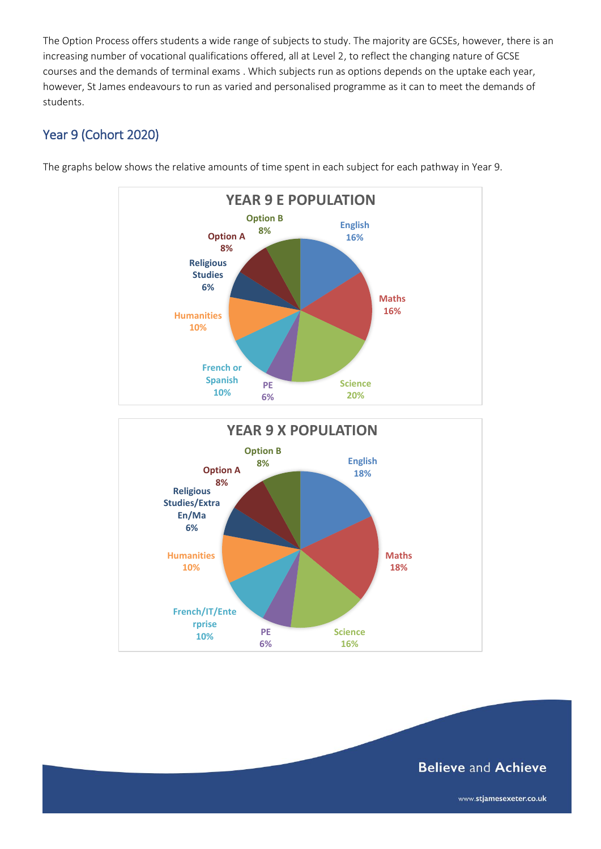The Option Process offers students a wide range of subjects to study. The majority are GCSEs, however, there is an increasing number of vocational qualifications offered, all at Level 2, to reflect the changing nature of GCSE courses and the demands of terminal exams . Which subjects run as options depends on the uptake each year, however, St James endeavours to run as varied and personalised programme as it can to meet the demands of students.

# Year 9 (Cohort 2020)



The graphs below shows the relative amounts of time spent in each subject for each pathway in Year 9.



# **Believe and Achieve**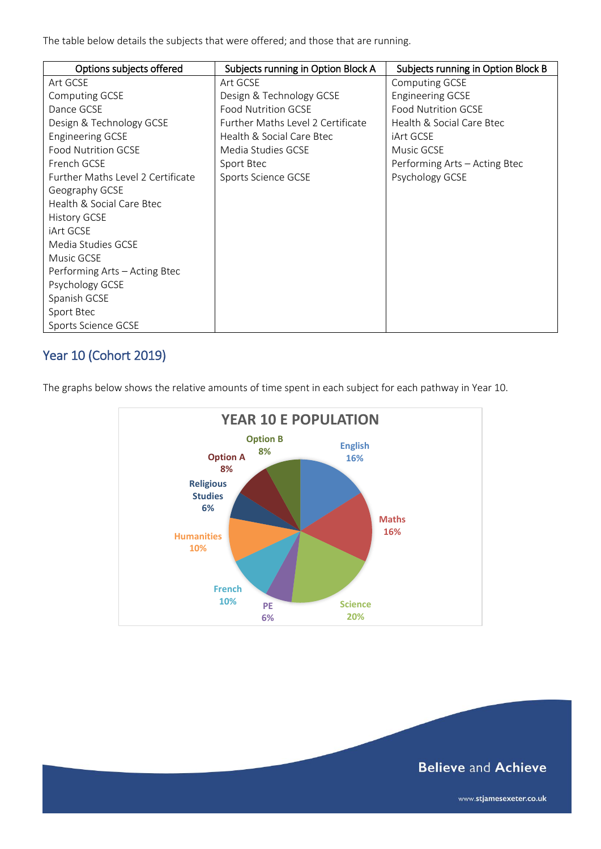The table below details the subjects that were offered; and those that are running.

| Options subjects offered          | Subjects running in Option Block A | Subjects running in Option Block B |
|-----------------------------------|------------------------------------|------------------------------------|
| Art GCSE                          | Art GCSE                           | <b>Computing GCSE</b>              |
| Computing GCSE                    | Design & Technology GCSE           | <b>Engineering GCSE</b>            |
| Dance GCSE                        | <b>Food Nutrition GCSE</b>         | <b>Food Nutrition GCSE</b>         |
| Design & Technology GCSE          | Further Maths Level 2 Certificate  | Health & Social Care Btec          |
| <b>Engineering GCSE</b>           | Health & Social Care Btec          | <b>iArt GCSE</b>                   |
| <b>Food Nutrition GCSE</b>        | Media Studies GCSE                 | Music GCSE                         |
| French GCSE                       | Sport Btec                         | Performing Arts - Acting Btec      |
| Further Maths Level 2 Certificate | Sports Science GCSE                | Psychology GCSE                    |
| Geography GCSE                    |                                    |                                    |
| Health & Social Care Btec         |                                    |                                    |
| <b>History GCSE</b>               |                                    |                                    |
| iArt GCSE                         |                                    |                                    |
| Media Studies GCSE                |                                    |                                    |
| Music GCSE                        |                                    |                                    |
| Performing Arts – Acting Btec     |                                    |                                    |
| Psychology GCSE                   |                                    |                                    |
| Spanish GCSE                      |                                    |                                    |
| Sport Btec                        |                                    |                                    |
| Sports Science GCSE               |                                    |                                    |

# Year 10 (Cohort 2019)

The graphs below shows the relative amounts of time spent in each subject for each pathway in Year 10.



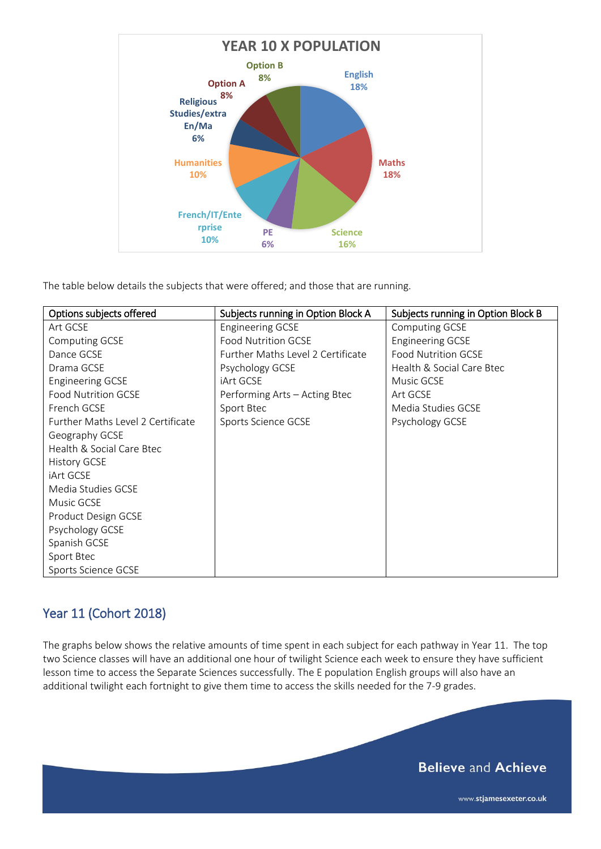

The table below details the subjects that were offered; and those that are running.

| Options subjects offered          | Subjects running in Option Block A | Subjects running in Option Block B |
|-----------------------------------|------------------------------------|------------------------------------|
| Art GCSE                          | <b>Engineering GCSE</b>            | Computing GCSE                     |
| Computing GCSE                    | <b>Food Nutrition GCSE</b>         | <b>Engineering GCSE</b>            |
| Dance GCSE                        | Further Maths Level 2 Certificate  | <b>Food Nutrition GCSE</b>         |
| Drama GCSE                        | Psychology GCSE                    | Health & Social Care Btec          |
| <b>Engineering GCSE</b>           | iArt GCSE                          | Music GCSE                         |
| <b>Food Nutrition GCSE</b>        | Performing Arts - Acting Btec      | Art GCSE                           |
| French GCSE                       | Sport Btec                         | Media Studies GCSE                 |
| Further Maths Level 2 Certificate | Sports Science GCSE                | Psychology GCSE                    |
| Geography GCSE                    |                                    |                                    |
| Health & Social Care Btec         |                                    |                                    |
| History GCSE                      |                                    |                                    |
| iArt GCSE                         |                                    |                                    |
| Media Studies GCSE                |                                    |                                    |
| Music GCSE                        |                                    |                                    |
| Product Design GCSE               |                                    |                                    |
| Psychology GCSE                   |                                    |                                    |
| Spanish GCSE                      |                                    |                                    |
| Sport Btec                        |                                    |                                    |
| Sports Science GCSE               |                                    |                                    |

# Year 11 (Cohort 2018)

The graphs below shows the relative amounts of time spent in each subject for each pathway in Year 11. The top two Science classes will have an additional one hour of twilight Science each week to ensure they have sufficient lesson time to access the Separate Sciences successfully. The E population English groups will also have an additional twilight each fortnight to give them time to access the skills needed for the 7-9 grades.

# **Believe and Achieve**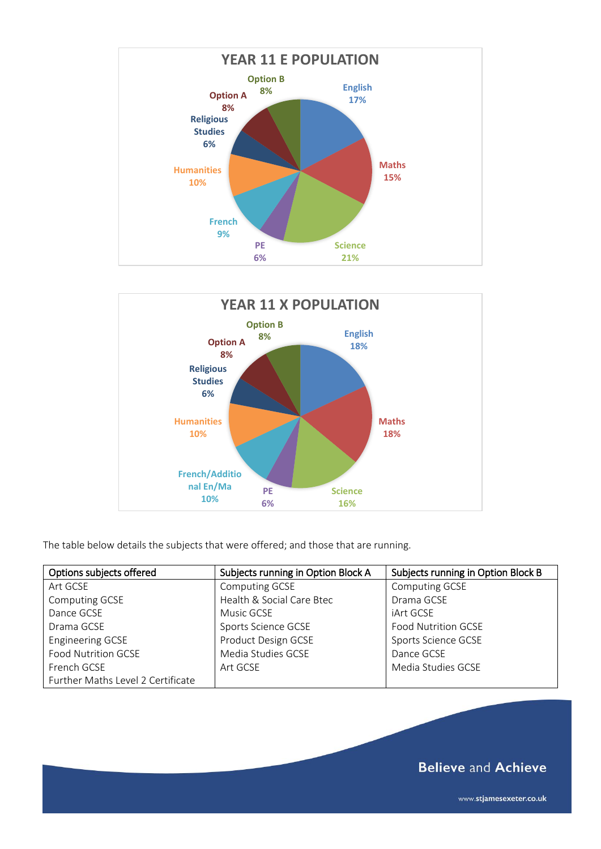



The table below details the subjects that were offered; and those that are running.

| Options subjects offered          | Subjects running in Option Block A | Subjects running in Option Block B |
|-----------------------------------|------------------------------------|------------------------------------|
| Art GCSE                          | Computing GCSE                     | Computing GCSE                     |
| <b>Computing GCSE</b>             | Health & Social Care Btec          | Drama GCSE                         |
| Dance GCSE                        | Music GCSE                         | iArt GCSE                          |
| Drama GCSE                        | Sports Science GCSE                | <b>Food Nutrition GCSE</b>         |
| <b>Engineering GCSE</b>           | Product Design GCSE                | Sports Science GCSE                |
| <b>Food Nutrition GCSE</b>        | Media Studies GCSE                 | Dance GCSE                         |
| French GCSE                       | Art GCSE                           | Media Studies GCSE                 |
| Further Maths Level 2 Certificate |                                    |                                    |

**Believe and Achieve**